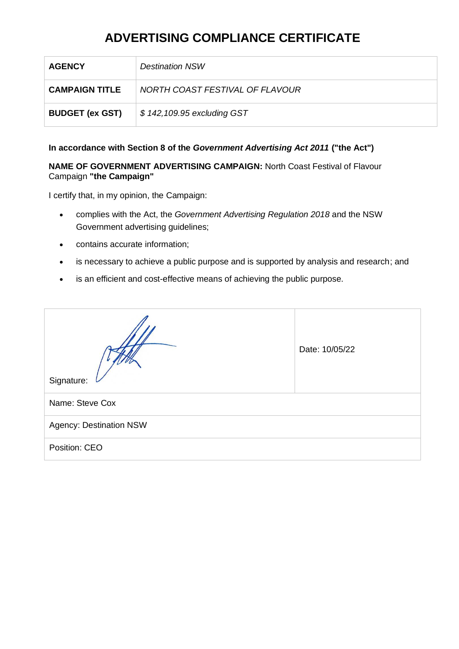| <b>AGENCY</b>          | <b>Destination NSW</b>          |
|------------------------|---------------------------------|
| <b>CAMPAIGN TITLE</b>  | NORTH COAST FESTIVAL OF FLAVOUR |
| <b>BUDGET (ex GST)</b> | \$142,109.95 excluding GST      |

### **In accordance with Section 8 of the** *Government Advertising Act 2011* **("the Act")**

**NAME OF GOVERNMENT ADVERTISING CAMPAIGN:** North Coast Festival of Flavour Campaign **"the Campaign"**

- complies with the Act, the *Government Advertising Regulation 2018* and the NSW Government advertising guidelines;
- contains accurate information;
- is necessary to achieve a public purpose and is supported by analysis and research; and
- is an efficient and cost-effective means of achieving the public purpose.

| Signature:                     | Date: 10/05/22 |  |
|--------------------------------|----------------|--|
| Name: Steve Cox                |                |  |
| <b>Agency: Destination NSW</b> |                |  |
| Position: CEO                  |                |  |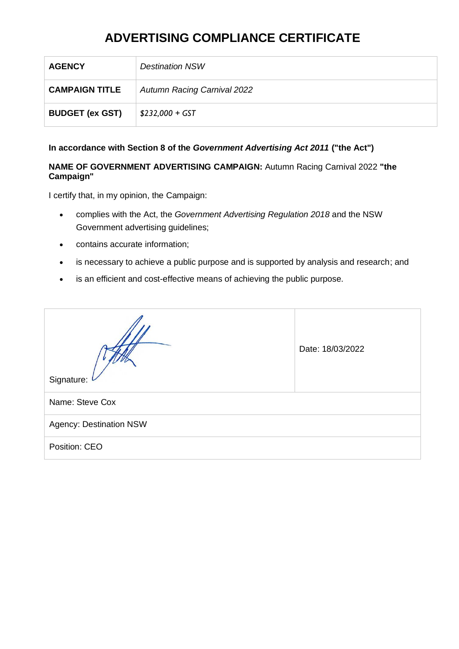| <b>AGENCY</b>          | <b>Destination NSW</b>             |
|------------------------|------------------------------------|
| <b>CAMPAIGN TITLE</b>  | <b>Autumn Racing Carnival 2022</b> |
| <b>BUDGET (ex GST)</b> | $$232,000 + GST$                   |

### **In accordance with Section 8 of the** *Government Advertising Act 2011* **("the Act")**

#### **NAME OF GOVERNMENT ADVERTISING CAMPAIGN:** Autumn Racing Carnival 2022 **"the Campaign"**

- complies with the Act, the *Government Advertising Regulation 2018* and the NSW Government advertising guidelines;
- contains accurate information;
- is necessary to achieve a public purpose and is supported by analysis and research; and
- is an efficient and cost-effective means of achieving the public purpose.

| Signature:                     | Date: 18/03/2022 |  |
|--------------------------------|------------------|--|
| Name: Steve Cox                |                  |  |
| <b>Agency: Destination NSW</b> |                  |  |
| Position: CEO                  |                  |  |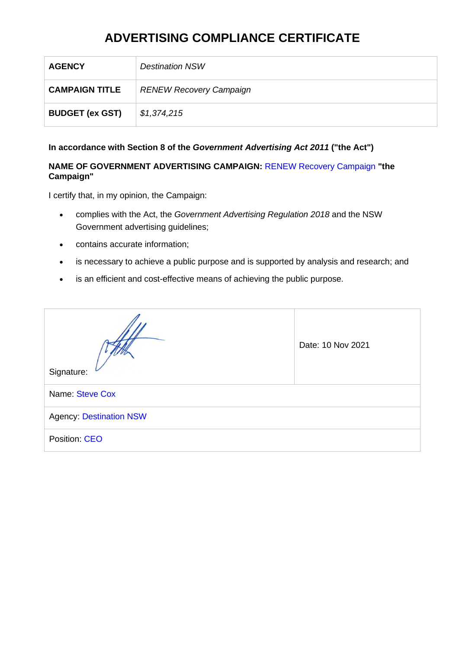| <b>AGENCY</b>          | <b>Destination NSW</b>         |
|------------------------|--------------------------------|
| <b>CAMPAIGN TITLE</b>  | <b>RENEW Recovery Campaign</b> |
| <b>BUDGET (ex GST)</b> | \$1,374,215                    |

#### **In accordance with Section 8 of the** *Government Advertising Act 2011* **("the Act")**

### **NAME OF GOVERNMENT ADVERTISING CAMPAIGN:** RENEW Recovery Campaign **"the Campaign"**

- complies with the Act, the *Government Advertising Regulation 2018* and the NSW Government advertising guidelines;
- contains accurate information;
- is necessary to achieve a public purpose and is supported by analysis and research; and
- is an efficient and cost-effective means of achieving the public purpose.

| Signature:                     | Date: 10 Nov 2021 |  |
|--------------------------------|-------------------|--|
| Name: Steve Cox                |                   |  |
| <b>Agency: Destination NSW</b> |                   |  |
| Position: CEO                  |                   |  |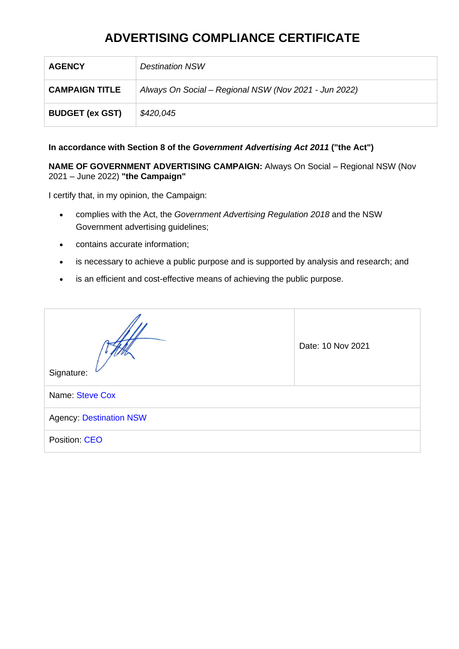| <b>AGENCY</b>          | <b>Destination NSW</b>                                |
|------------------------|-------------------------------------------------------|
| <b>CAMPAIGN TITLE</b>  | Always On Social - Regional NSW (Nov 2021 - Jun 2022) |
| <b>BUDGET (ex GST)</b> | \$420,045                                             |

#### **In accordance with Section 8 of the** *Government Advertising Act 2011* **("the Act")**

**NAME OF GOVERNMENT ADVERTISING CAMPAIGN:** Always On Social – Regional NSW (Nov 2021 – June 2022) **"the Campaign"**

- complies with the Act, the *Government Advertising Regulation 2018* and the NSW Government advertising guidelines;
- contains accurate information;
- is necessary to achieve a public purpose and is supported by analysis and research; and
- is an efficient and cost-effective means of achieving the public purpose.

| Signature:                     | Date: 10 Nov 2021 |  |
|--------------------------------|-------------------|--|
| Name: Steve Cox                |                   |  |
| <b>Agency: Destination NSW</b> |                   |  |
| Position: CEO                  |                   |  |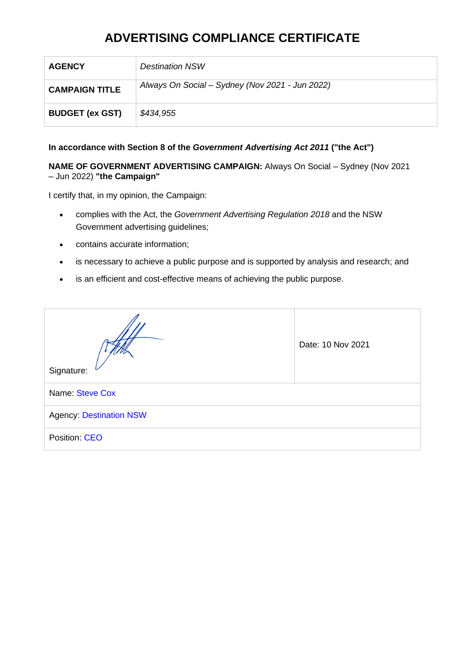| <b>AGENCY</b>          | <b>Destination NSW</b>                          |
|------------------------|-------------------------------------------------|
| <b>CAMPAIGN TITLE</b>  | Always On Social – Sydney (Nov 2021 - Jun 2022) |
| <b>BUDGET (ex GST)</b> | \$434,955                                       |

### **In accordance with Section 8 of the** *Government Advertising Act 2011* **("the Act")**

**NAME OF GOVERNMENT ADVERTISING CAMPAIGN:** Always On Social – Sydney (Nov 2021 – Jun 2022) **"the Campaign"**

- complies with the Act, the *Government Advertising Regulation 2018* and the NSW Government advertising guidelines;
- contains accurate information;
- is necessary to achieve a public purpose and is supported by analysis and research; and
- is an efficient and cost-effective means of achieving the public purpose.

| Signature:                     | Date: 10 Nov 2021 |  |
|--------------------------------|-------------------|--|
| Name: Steve Cox                |                   |  |
| <b>Agency: Destination NSW</b> |                   |  |
| Position: CEO                  |                   |  |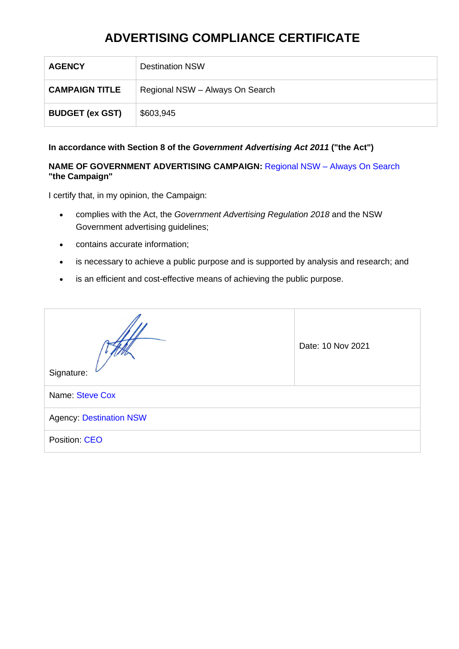| <b>AGENCY</b>          | <b>Destination NSW</b>          |
|------------------------|---------------------------------|
| <b>CAMPAIGN TITLE</b>  | Regional NSW - Always On Search |
| <b>BUDGET (ex GST)</b> | \$603,945                       |

#### **In accordance with Section 8 of the** *Government Advertising Act 2011* **("the Act")**

#### **NAME OF GOVERNMENT ADVERTISING CAMPAIGN:** Regional NSW – Always On Search **"the Campaign"**

- complies with the Act, the *Government Advertising Regulation 2018* and the NSW Government advertising guidelines;
- contains accurate information;
- is necessary to achieve a public purpose and is supported by analysis and research; and
- is an efficient and cost-effective means of achieving the public purpose.

| Signature:                     | Date: 10 Nov 2021 |  |
|--------------------------------|-------------------|--|
| Name: Steve Cox                |                   |  |
| <b>Agency: Destination NSW</b> |                   |  |
| Position: CEO                  |                   |  |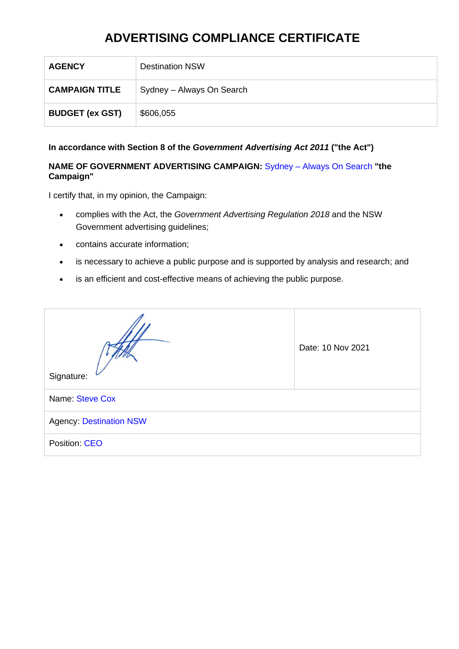| <b>AGENCY</b>          | <b>Destination NSW</b>    |
|------------------------|---------------------------|
| <b>CAMPAIGN TITLE</b>  | Sydney - Always On Search |
| <b>BUDGET (ex GST)</b> | \$606,055                 |

#### **In accordance with Section 8 of the** *Government Advertising Act 2011* **("the Act")**

### **NAME OF GOVERNMENT ADVERTISING CAMPAIGN:** Sydney – Always On Search **"the Campaign"**

- complies with the Act, the *Government Advertising Regulation 2018* and the NSW Government advertising guidelines;
- contains accurate information;
- is necessary to achieve a public purpose and is supported by analysis and research; and
- is an efficient and cost-effective means of achieving the public purpose.

| Signature:                     | Date: 10 Nov 2021 |  |  |  |
|--------------------------------|-------------------|--|--|--|
| Name: Steve Cox                |                   |  |  |  |
| <b>Agency: Destination NSW</b> |                   |  |  |  |
| Position: CEO                  |                   |  |  |  |